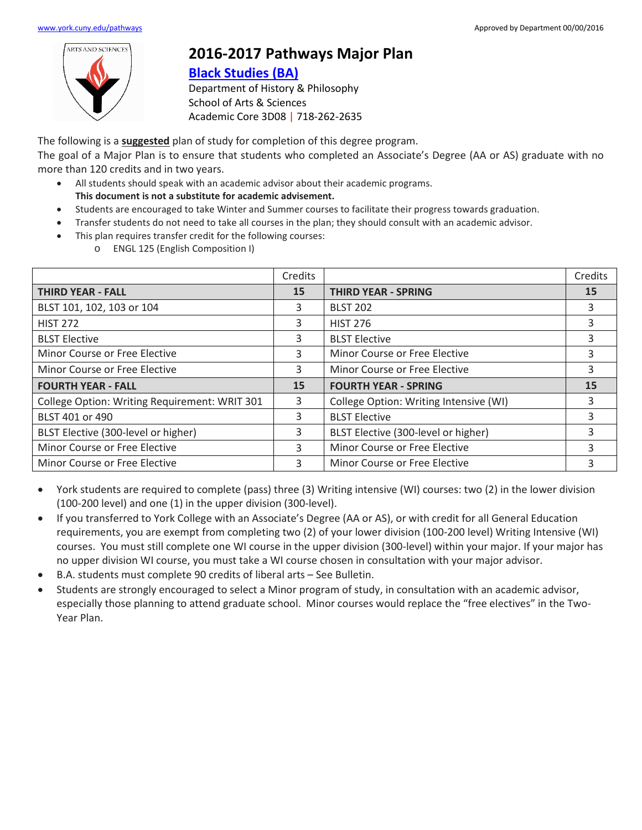

## **2016-2017 Pathways Major Plan**

## **[Black Studies](https://www.york.cuny.edu/produce-and-print/contents/bulletin/school-of-arts-and-sciences/history-and-philosophy/black-studies-ba) (BA)**

Department of History & Philosophy School of Arts & Sciences Academic Core 3D08 | 718-262-2635

The following is a **suggested** plan of study for completion of this degree program.

The goal of a Major Plan is to ensure that students who completed an Associate's Degree (AA or AS) graduate with no more than 120 credits and in two years.

- All students should speak with an academic advisor about their academic programs. **This document is not a substitute for academic advisement.**
- Students are encouraged to take Winter and Summer courses to facilitate their progress towards graduation.
- Transfer students do not need to take all courses in the plan; they should consult with an academic advisor.
- This plan requires transfer credit for the following courses:
	- o ENGL 125 (English Composition I)

|                                               | Credits |                                        | Credits |
|-----------------------------------------------|---------|----------------------------------------|---------|
| <b>THIRD YEAR - FALL</b>                      | 15      | <b>THIRD YEAR - SPRING</b>             | 15      |
| BLST 101, 102, 103 or 104                     | 3       | <b>BLST 202</b>                        | 3       |
| <b>HIST 272</b>                               | 3       | <b>HIST 276</b>                        | 3       |
| <b>BLST Elective</b>                          | 3       | <b>BLST Elective</b>                   |         |
| Minor Course or Free Elective                 | 3       | Minor Course or Free Elective          | 3       |
| Minor Course or Free Elective                 | 3       | Minor Course or Free Elective          |         |
| <b>FOURTH YEAR - FALL</b>                     | 15      | <b>FOURTH YEAR - SPRING</b>            | 15      |
| College Option: Writing Requirement: WRIT 301 | 3       | College Option: Writing Intensive (WI) | 3       |
| BLST 401 or 490                               | 3       | <b>BLST Elective</b>                   |         |
| BLST Elective (300-level or higher)           | 3       | BLST Elective (300-level or higher)    |         |
| Minor Course or Free Elective                 | 3       | Minor Course or Free Elective<br>3     |         |
| Minor Course or Free Elective                 | 3       | Minor Course or Free Elective<br>3     |         |

- York students are required to complete (pass) three (3) Writing intensive (WI) courses: two (2) in the lower division (100-200 level) and one (1) in the upper division (300-level).
- If you transferred to York College with an Associate's Degree (AA or AS), or with credit for all General Education requirements, you are exempt from completing two (2) of your lower division (100-200 level) Writing Intensive (WI) courses. You must still complete one WI course in the upper division (300-level) within your major. If your major has no upper division WI course, you must take a WI course chosen in consultation with your major advisor.
- B.A. students must complete 90 credits of liberal arts See Bulletin.
- Students are strongly encouraged to select a Minor program of study, in consultation with an academic advisor, especially those planning to attend graduate school. Minor courses would replace the "free electives" in the Two-Year Plan.